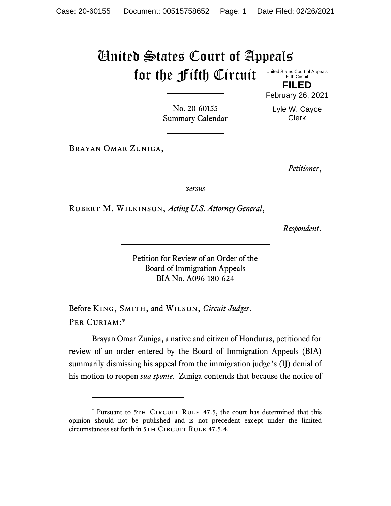## United States Court of Appeals for the Fifth Circuit

United States Court of Appeals Fifth Circuit

**FILED** February 26, 2021

Lyle W. Cayce Clerk

No. 20-60155 Summary Calendar

Brayan Omar Zuniga,

*Petitioner*,

*versus*

Robert M. Wilkinson, *Acting U.S. Attorney General*,

*Respondent*.

Petition for Review of an Order of the Board of Immigration Appeals BIA No. A096-180-624

Before King, Smith, and Wilson, *Circuit Judges*. Per Curiam:\*

Brayan Omar Zuniga, a native and citizen of Honduras, petitioned for review of an order entered by the Board of Immigration Appeals (BIA) summarily dismissing his appeal from the immigration judge's (IJ) denial of his motion to reopen *sua sponte*. Zuniga contends that because the notice of

<sup>\*</sup> Pursuant to 5TH CIRCUIT RULE 47.5, the court has determined that this opinion should not be published and is not precedent except under the limited circumstances set forth in 5TH CIRCUIT RULE 47.5.4.